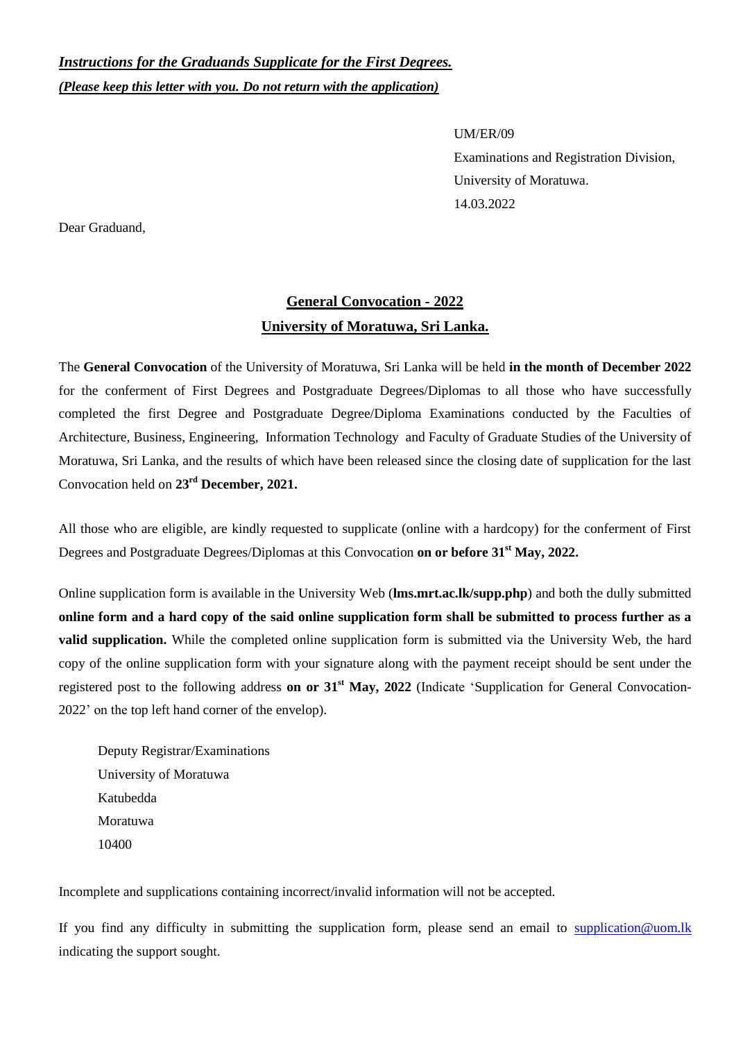## *Instructions for the Graduands Supplicate for the First Degrees. (Please keep this letter with you. Do not return with the application)*

UM/ER/09 Examinations and Registration Division, University of Moratuwa. 14.03.2022

Dear Graduand,

## **General Convocation - 2022 University of Moratuwa, Sri Lanka.**

The **General Convocation** of the University of Moratuwa, Sri Lanka will be held **in the month of December 2022** for the conferment of First Degrees and Postgraduate Degrees/Diplomas to all those who have successfully completed the first Degree and Postgraduate Degree/Diploma Examinations conducted by the Faculties of Architecture, Business, Engineering, Information Technology and Faculty of Graduate Studies of the University of Moratuwa, Sri Lanka, and the results of which have been released since the closing date of supplication for the last Convocation held on **23rd December, 2021.**

All those who are eligible, are kindly requested to supplicate (online with a hardcopy) for the conferment of First Degrees and Postgraduate Degrees/Diplomas at this Convocation **on or before 31 st May, 2022.**

Online supplication form is available in the University Web (**lms.mrt.ac.lk/supp.php**) and both the dully submitted **online form and a hard copy of the said online supplication form shall be submitted to process further as a valid supplication.** While the completed online supplication form is submitted via the University Web, the hard copy of the online supplication form with your signature along with the payment receipt should be sent under the registered post to the following address **on or 31st May, 2022** (Indicate "Supplication for General Convocation-2022" on the top left hand corner of the envelop).

Deputy Registrar/Examinations University of Moratuwa Katubedda Moratuwa 10400

Incomplete and supplications containing incorrect/invalid information will not be accepted.

If you find any difficulty in submitting the supplication form, please send an email to [supplication@uom.lk](mailto:supplication@uom.lk) indicating the support sought.